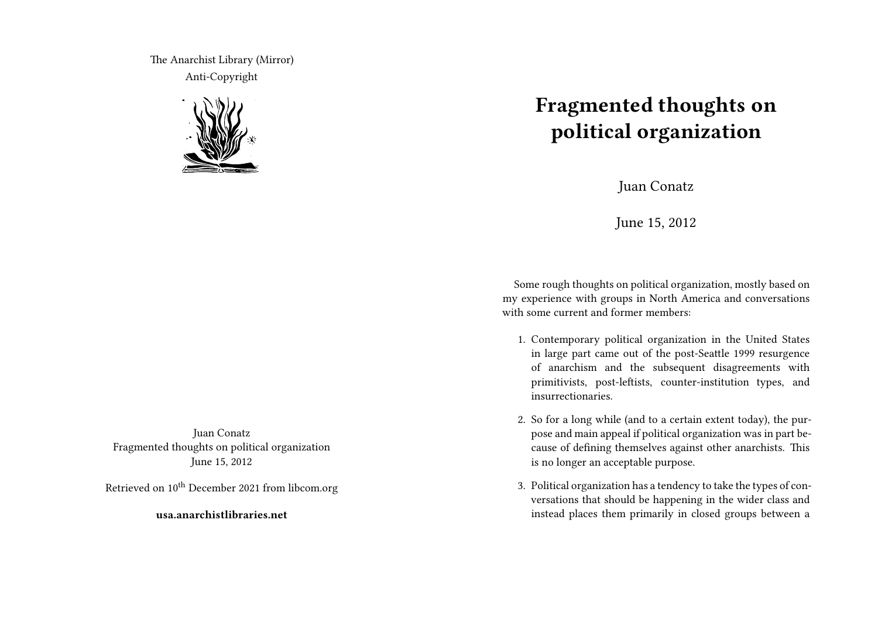The Anarchist Library (Mirror) Anti-Copyright



Juan Conatz Fragmented thoughts on political organization June 15, 2012

Retrieved on 10<sup>th</sup> December 2021 from libcom.org

**usa.anarchistlibraries.net**

## **Fragmented thoughts on political organization**

Juan Conatz

June 15, 2012

Some rough thoughts on political organization, mostly based on my experience with groups in North America and conversations with some current and former members:

- 1. Contemporary political organization in the United States in large part came out of the post-Seattle 1999 resurgence of anarchism and the subsequent disagreements with primitivists, post-leftists, counter-institution types, and insurrectionaries.
- 2. So for a long while (and to a certain extent today), the purpose and main appeal if political organization was in part because of defining themselves against other anarchists. This is no longer an acceptable purpose.
- 3. Political organization has a tendency to take the types of conversations that should be happening in the wider class and instead places them primarily in closed groups between a